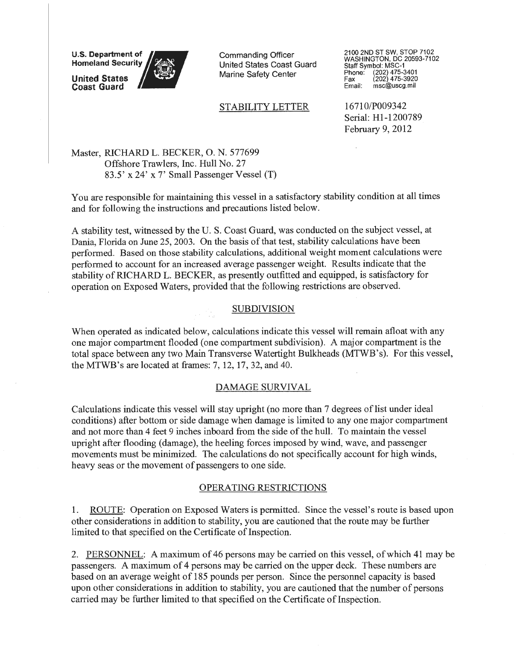**U.S. Department of Homeland Security** 

**United States Coast Guard** 

Commanding Officer United States Coast Guard Marine Safety Center

## STABILITY LETTER

2100 2ND ST SW, STOP 7102 WASHINGTON, DC 20593-7102 Staff Symbol: MSC-1<br>Phone: (202) 475-3 Phone: (202) 475-3401 Fax (202) 475-3920 Email: msc@uscg.mil

16710/P009342 Serial: Hl-1200789 February 9, 2012

Master, RICHARD L. BECKER, 0. N. 577699 Offshore Trawlers, Inc. Hull No. 27 83.5' x 24' x 7' Small Passenger Vessel (T)

You are responsible for maintaining this vessel in a satisfactory stability condition at all times and for following the instructions and precautions listed below.

A stability test, witnessed by the U. S. Coast Guard, was conducted on the subject vessel, at Dania, Florida on June 25, 2003. On the basis of that test, stability calculations have been performed. Based on those stability calculations, additional weight moment calculations were performed to account for an increased average passenger weight. Results indicate that the stability of RICHARD L. BECKER, as presently outfitted and equipped, is satisfactory for operation on Exposed Waters, provided that the following restrictions are observed.

### SUBDIVISION

When operated as indicated below, calculations indicate this vessel will remain afloat with any one major compartment flooded (one compartment subdivision). A major compartment is the total space between any two Main Transverse Watertight Bulkheads (MTWB's). For this vessel, the MTWB's are located at frames: 7, 12, 17, 32, and 40.

### DAMAGE SURVIVAL

Calculations indicate this vessel will stay upright (no more than 7 degrees of list under ideal conditions) after bottom or side damage when damage is limited to any one major compartment and not more than 4 feet 9 inches inboard from the side of the hull. To maintain the vessel upright after flooding (damage), the heeling forces imposed by wind, waye, and passenger movements must be minimized. The calculations do not specifically account for high winds, heavy seas or the movement of passengers to one side.

#### OPERATING RESTRICTIONS

1. ROUTE: Operation on Exposed Waters is permitted. Since the vessel's route is based upon other considerations in addition to stability, you are cautioned that the route may be further limited to that specified on the Certificate of Inspection.

2. PERSONNEL: A maximum of 46 persons may be carried on this vessel, of which 41 may be passengers. A maximum of 4 persons may be carried on the upper deck. These numbers are based on an average weight of 185 pounds per person. Since the personnel capacity is based upon other considerations in addition to stability, you are cautioned that the number of persons carried may be further limited to that specified on the Certificate of Inspection.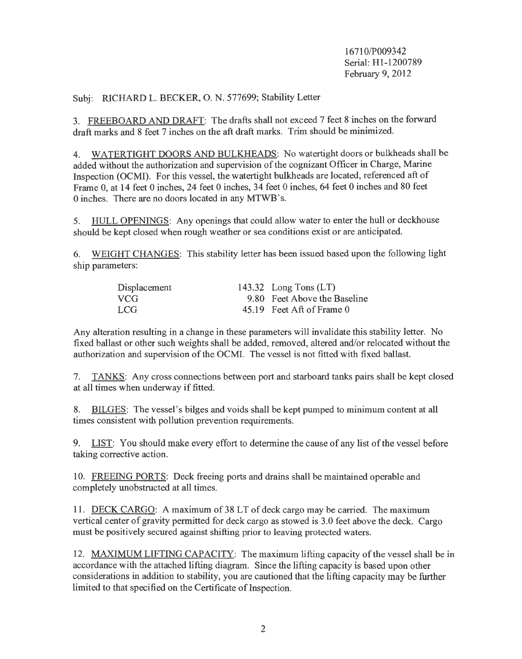1671 O/P009342 Serial: Hl-1200789 February 9, 2012

Subj: RICHARD L. BECKER, 0. N. 577699; Stability Letter

3. FREEBOARD AND DRAFT: The drafts shall not exceed 7 feet 8 inches on the forward draft marks and 8 feet 7 inches on the aft draft marks. Trim should be minimized.

4. WATERTIGHT DOORS AND BULKHEADS: No watertight doors or bulkheads shall be added without the authorization and supervision of the cognizant Officer in Charge, Marine Inspection (OCMI). For this vessel, the watertight bulkheads are located, referenced aft of Frame 0, at 14 feet 0 inches, 24 feet 0 inches, 34 feet 0 inches, 64 feet 0 inches and 80 feet 0 inches. There are no doors located in any MTWB 's.

5. HULL OPENINGS: Any openings that could allow water to enter the hull or deckhouse should be kept closed when rough weather or sea conditions exist or are anticipated.

6. WEIGHT CHANGES: This stability letter has been issued based upon the following light ship parameters:

| Displacement | 143.32 Long Tons $(LT)$      |
|--------------|------------------------------|
| VCG          | 9.80 Feet Above the Baseline |
| LCG.         | 45.19 Feet Aft of Frame 0    |

Any alteration resulting in a change in these parameters will invalidate this stability letter. No fixed ballast or other such weights shall be added, removed, altered and/or relocated without the authorization and supervision of the OCMl. The vessel is not fitted with fixed ballast.

7. TANKS: Any cross connections between port and starboard tanks pairs shall be kept closed at all times when underway if fitted.

8. BILGES: The vessel's bilges and voids shall be kept pumped to minimum content at all times consistent with pollution prevention requirements.

9. LIST: You should make every effort to determine the cause of any list ofthe vessel before taking corrective action.

10. FREEING PORTS: Deck freeing ports and drains shall be maintained operable and completely unobstructed at all times.

11. DECK CARGO: A maximum of 38 LT of deck cargo may be carried. The maximum vertical center of gravity permitted for deck cargo as stowed is 3.0 feet above the deck. Cargo must be positively secured against shifting prior to leaving protected waters.

12. MAXIMUM LIFTING CAPACITY: The maximum lifting capacity of the vessel shall be in accordance with the attached lifting diagram. Since the lifting capacity is based upon other considerations in addition to stability, you are cautioned that the lifting capacity may be further limited to that specified on the Certificate of Inspection.